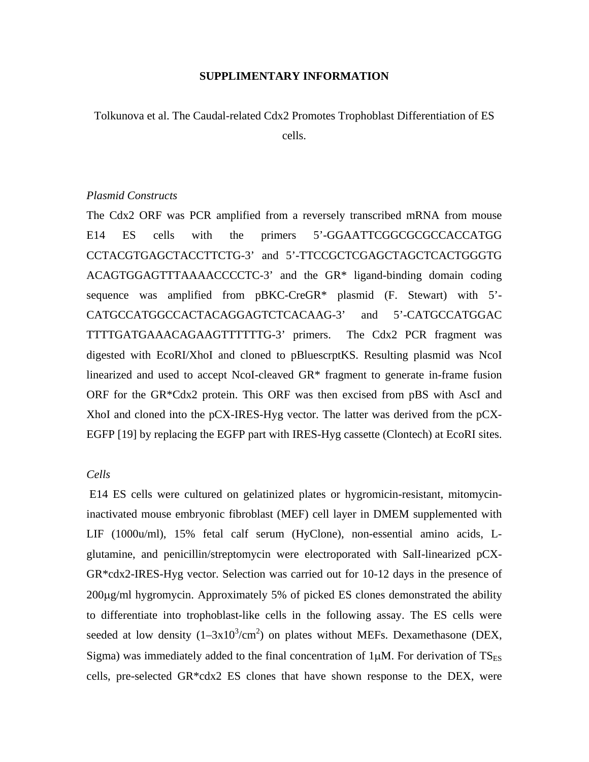#### **SUPPLIMENTARY INFORMATION**

Tolkunova et al. The Caudal-related Cdx2 Promotes Trophoblast Differentiation of ES cells.

## *Plasmid Constructs*

The Cdx2 ORF was PCR amplified from a reversely transcribed mRNA from mouse E14 ES cells with the primers 5'-GGAATTCGGCGCGCCACCATGG CCTACGTGAGCTACCTTCTG-3' and 5'-TTCCGCTCGAGCTAGCTCACTGGGTG ACAGTGGAGTTTAAAACCCCTC-3' and the GR\* ligand-binding domain coding sequence was amplified from pBKC-CreGR\* plasmid (F. Stewart) with 5'- CATGCCATGGCCACTACAGGAGTCTCACAAG-3' and 5'-CATGCCATGGAC TTTTGATGAAACAGAAGTTTTTTG-3' primers. The Cdx2 PCR fragment was digested with EcoRI/XhoI and cloned to pBluescrptKS. Resulting plasmid was NcoI linearized and used to accept NcoI-cleaved GR\* fragment to generate in-frame fusion ORF for the GR\*Cdx2 protein. This ORF was then excised from pBS with AscI and XhoI and cloned into the pCX-IRES-Hyg vector. The latter was derived from the pCX-EGFP [19] by replacing the EGFP part with IRES-Hyg cassette (Clontech) at EcoRI sites.

# *Cells*

 E14 ES cells were cultured on gelatinized plates or hygromicin-resistant, mitomycininactivated mouse embryonic fibroblast (MEF) cell layer in DMEM supplemented with LIF (1000u/ml), 15% fetal calf serum (HyClone), non-essential amino acids, Lglutamine, and penicillin/streptomycin were electroporated with SalI-linearized pCX-GR\*cdx2-IRES-Hyg vector. Selection was carried out for 10-12 days in the presence of 200µg/ml hygromycin. Approximately 5% of picked ES clones demonstrated the ability to differentiate into trophoblast-like cells in the following assay. The ES cells were seeded at low density  $(1-3x10^3/cm^2)$  on plates without MEFs. Dexamethasone (DEX, Sigma) was immediately added to the final concentration of  $1\mu$ M. For derivation of  $TS_{ES}$ cells, pre-selected GR\*cdx2 ES clones that have shown response to the DEX, were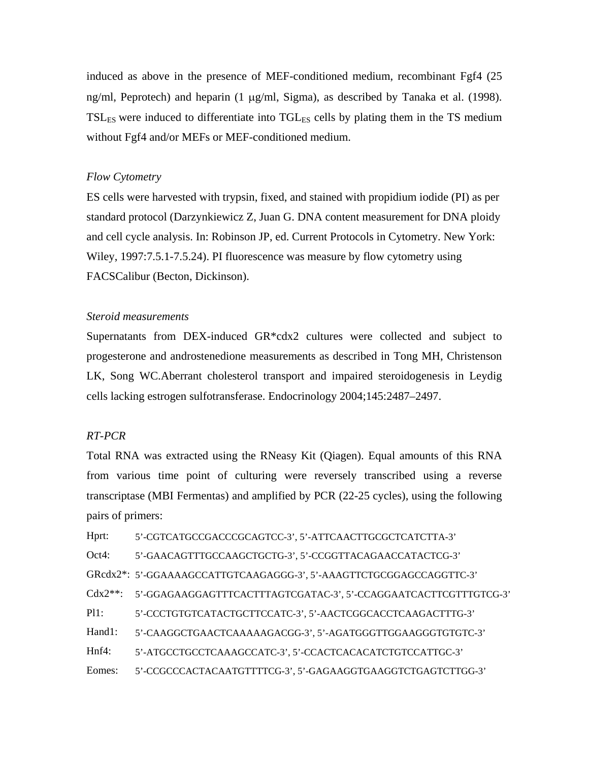induced as above in the presence of MEF-conditioned medium, recombinant Fgf4 (25 ng/ml, Peprotech) and heparin (1 µg/ml, Sigma), as described by Tanaka et al. (1998).  $TSL<sub>FS</sub>$  were induced to differentiate into  $TGL<sub>FS</sub>$  cells by plating them in the TS medium without Fgf4 and/or MEFs or MEF-conditioned medium.

## *Flow Cytometry*

ES cells were harvested with trypsin, fixed, and stained with propidium iodide (PI) as per standard protocol (Darzynkiewicz Z, Juan G. DNA content measurement for DNA ploidy and cell cycle analysis. In: Robinson JP, ed. Current Protocols in Cytometry. New York: Wiley, 1997:7.5.1-7.5.24). PI fluorescence was measure by flow cytometry using FACSCalibur (Becton, Dickinson).

### *Steroid measurements*

Supernatants from DEX-induced GR\*cdx2 cultures were collected and subject to progesterone and androstenedione measurements as described in Tong MH, Christenson LK, Song WC.Aberrant cholesterol transport and impaired steroidogenesis in Leydig cells lacking estrogen sulfotransferase. Endocrinology 2004;145:2487–2497.

# *RT-PCR*

Total RNA was extracted using the RNeasy Kit (Qiagen). Equal amounts of this RNA from various time point of culturing were reversely transcribed using a reverse transcriptase (MBI Fermentas) and amplified by PCR (22-25 cycles), using the following pairs of primers:

Hprt: 5'-CGTCATGCCGACCCGCAGTCC-3', 5'-ATTCAACTTGCGCTCATCTTA-3' Oct4: 5'-GAACAGTTTGCCAAGCTGCTG-3', 5'-CCGGTTACAGAACCATACTCG-3' GRcdx2\*: 5'-GGAAAAGCCATTGTCAAGAGGG-3', 5'-AAAGTTCTGCGGAGCCAGGTTC-3' Cdx2\*\*: 5'-GGAGAAGGAGTTTCACTTTAGTCGATAC-3', 5'-CCAGGAATCACTTCGTTTGTCG-3' Pl1: 5'-CCCTGTGTCATACTGCTTCCATC-3', 5'-AACTCGGCACCTCAAGACTTTG-3' Hand1: 5'-CAAGGCTGAACTCAAAAAGACGG-3', 5'-AGATGGGTTGGAAGGGTGTGTC-3' Hnf4: 5'-ATGCCTGCCTCAAAGCCATC-3', 5'-CCACTCACACATCTGTCCATTGC-3' Eomes: 5'-CCGCCCACTACAATGTTTTCG-3', 5'-GAGAAGGTGAAGGTCTGAGTCTTGG-3'